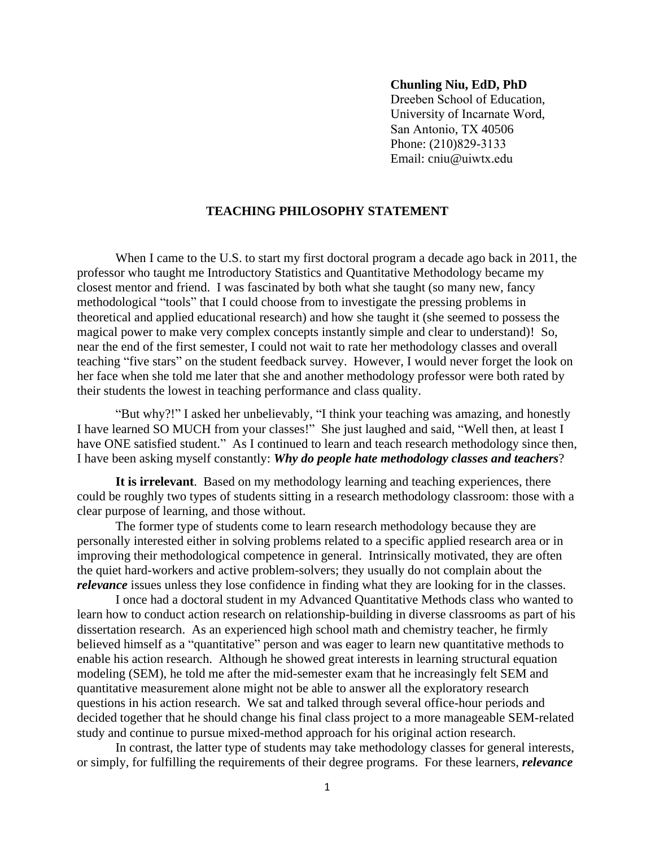## **Chunling Niu, EdD, PhD**

Dreeben School of Education, University of Incarnate Word, San Antonio, TX 40506 Phone: (210)829-3133 Email: cniu@uiwtx.edu

## **TEACHING PHILOSOPHY STATEMENT**

When I came to the U.S. to start my first doctoral program a decade ago back in 2011, the professor who taught me Introductory Statistics and Quantitative Methodology became my closest mentor and friend. I was fascinated by both what she taught (so many new, fancy methodological "tools" that I could choose from to investigate the pressing problems in theoretical and applied educational research) and how she taught it (she seemed to possess the magical power to make very complex concepts instantly simple and clear to understand)! So, near the end of the first semester, I could not wait to rate her methodology classes and overall teaching "five stars" on the student feedback survey. However, I would never forget the look on her face when she told me later that she and another methodology professor were both rated by their students the lowest in teaching performance and class quality.

"But why?!" I asked her unbelievably, "I think your teaching was amazing, and honestly I have learned SO MUCH from your classes!" She just laughed and said, "Well then, at least I have ONE satisfied student." As I continued to learn and teach research methodology since then, I have been asking myself constantly: *Why do people hate methodology classes and teachers*?

**It is irrelevant**. Based on my methodology learning and teaching experiences, there could be roughly two types of students sitting in a research methodology classroom: those with a clear purpose of learning, and those without.

The former type of students come to learn research methodology because they are personally interested either in solving problems related to a specific applied research area or in improving their methodological competence in general. Intrinsically motivated, they are often the quiet hard-workers and active problem-solvers; they usually do not complain about the *relevance* issues unless they lose confidence in finding what they are looking for in the classes.

I once had a doctoral student in my Advanced Quantitative Methods class who wanted to learn how to conduct action research on relationship-building in diverse classrooms as part of his dissertation research. As an experienced high school math and chemistry teacher, he firmly believed himself as a "quantitative" person and was eager to learn new quantitative methods to enable his action research. Although he showed great interests in learning structural equation modeling (SEM), he told me after the mid-semester exam that he increasingly felt SEM and quantitative measurement alone might not be able to answer all the exploratory research questions in his action research. We sat and talked through several office-hour periods and decided together that he should change his final class project to a more manageable SEM-related study and continue to pursue mixed-method approach for his original action research.

In contrast, the latter type of students may take methodology classes for general interests, or simply, for fulfilling the requirements of their degree programs. For these learners, *relevance*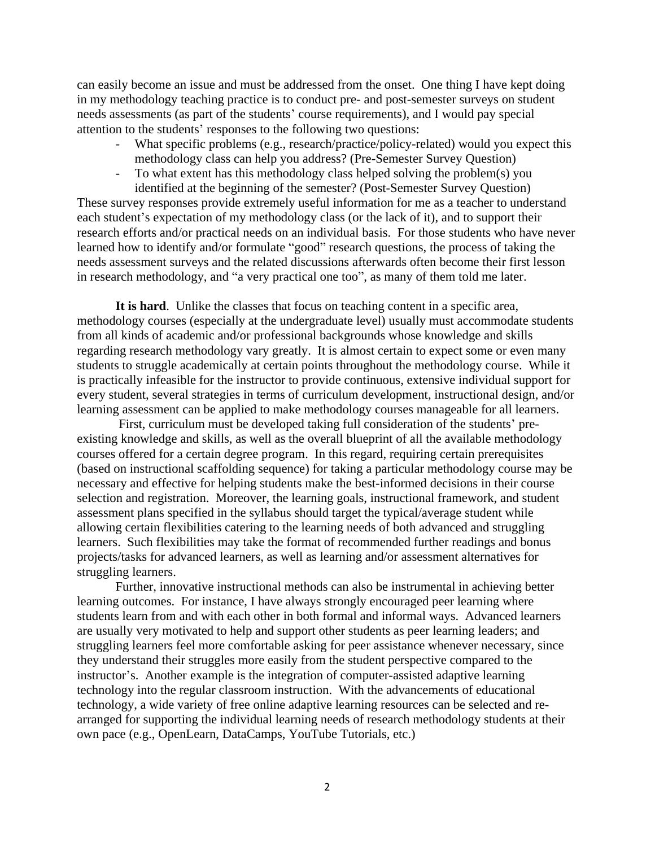can easily become an issue and must be addressed from the onset. One thing I have kept doing in my methodology teaching practice is to conduct pre- and post-semester surveys on student needs assessments (as part of the students' course requirements), and I would pay special attention to the students' responses to the following two questions:

- What specific problems (e.g., research/practice/policy-related) would you expect this methodology class can help you address? (Pre-Semester Survey Question)
- To what extent has this methodology class helped solving the problem(s) you identified at the beginning of the semester? (Post-Semester Survey Question)

These survey responses provide extremely useful information for me as a teacher to understand each student's expectation of my methodology class (or the lack of it), and to support their research efforts and/or practical needs on an individual basis. For those students who have never learned how to identify and/or formulate "good" research questions, the process of taking the needs assessment surveys and the related discussions afterwards often become their first lesson in research methodology, and "a very practical one too", as many of them told me later.

**It is hard**. Unlike the classes that focus on teaching content in a specific area, methodology courses (especially at the undergraduate level) usually must accommodate students from all kinds of academic and/or professional backgrounds whose knowledge and skills regarding research methodology vary greatly. It is almost certain to expect some or even many students to struggle academically at certain points throughout the methodology course. While it is practically infeasible for the instructor to provide continuous, extensive individual support for every student, several strategies in terms of curriculum development, instructional design, and/or learning assessment can be applied to make methodology courses manageable for all learners.

 First, curriculum must be developed taking full consideration of the students' preexisting knowledge and skills, as well as the overall blueprint of all the available methodology courses offered for a certain degree program. In this regard, requiring certain prerequisites (based on instructional scaffolding sequence) for taking a particular methodology course may be necessary and effective for helping students make the best-informed decisions in their course selection and registration. Moreover, the learning goals, instructional framework, and student assessment plans specified in the syllabus should target the typical/average student while allowing certain flexibilities catering to the learning needs of both advanced and struggling learners. Such flexibilities may take the format of recommended further readings and bonus projects/tasks for advanced learners, as well as learning and/or assessment alternatives for struggling learners.

Further, innovative instructional methods can also be instrumental in achieving better learning outcomes. For instance, I have always strongly encouraged peer learning where students learn from and with each other in both formal and informal ways. Advanced learners are usually very motivated to help and support other students as peer learning leaders; and struggling learners feel more comfortable asking for peer assistance whenever necessary, since they understand their struggles more easily from the student perspective compared to the instructor's. Another example is the integration of computer-assisted adaptive learning technology into the regular classroom instruction. With the advancements of educational technology, a wide variety of free online adaptive learning resources can be selected and rearranged for supporting the individual learning needs of research methodology students at their own pace (e.g., OpenLearn, DataCamps, YouTube Tutorials, etc.)